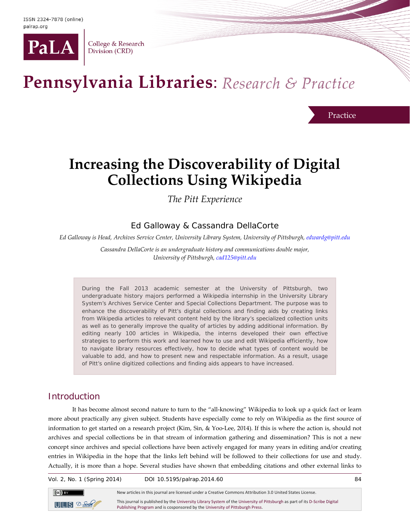

College & Research Division (CRD)

# Pennsylvania Libraries: Research & Practice

Practice

## **Increasing the Discoverability of Digital Collections Using Wikipedia**

*The Pitt Experience*

### Ed Galloway & Cassandra DellaCorte

*Ed Galloway is Head, Archives Service Center, University Library System, University of Pittsburgh, [edwardg@pitt.edu](mailto:edwardg@pitt.edu)*

*Cassandra DellaCorte is an undergraduate history and communications double major, University of Pittsburgh, [cad125@pitt.edu](mailto:cad125@pitt.edu)*

During the Fall 2013 academic semester at the University of Pittsburgh, two undergraduate history majors performed a Wikipedia internship in the University Library System's Archives Service Center and Special Collections Department. The purpose was to enhance the discoverability of Pitt's digital collections and finding aids by creating links from Wikipedia articles to relevant content held by the library's specialized collection units as well as to generally improve the quality of articles by adding additional information. By editing nearly 100 articles in Wikipedia, the interns developed their own effective strategies to perform this work and learned how to use and edit Wikipedia efficiently, how to navigate library resources effectively, how to decide what types of content would be valuable to add, and how to present new and respectable information. As a result, usage of Pitt's online digitized collections and finding aids appears to have increased.

## **Introduction**

It has become almost second nature to turn to the "all-knowing" Wikipedia to look up a quick fact or learn more about practically any given subject. Students have especially come to rely on Wikipedia as the first source of information to get started on a research project (Kim, Sin, & Yoo-Lee, 2014). If this is where the action is, should not archives and special collections be in that stream of information gathering and dissemination? This is not a new concept since archives and special collections have been actively engaged for many years in editing and/or creating entries in Wikipedia in the hope that the links left behind will be followed to their collections for use and study. Actually, it is more than a hope. Several studies have shown that embedding citations and other external links to

Vol. 2, No. 1 (Spring 2014) DOI 10.5195/palrap.2014.60 84





New articles in this journal are licensed under a Creative Commons Attribution 3.0 United States License.

This journal is published by th[e University Library System](http://www.library.pitt.edu/) of th[e University of Pittsburgh](http://www.pitt.edu/) as part of it[s D-Scribe Digital](http://www.library.pitt.edu/uls-e-journal-publishing)  [Publishing Program](http://www.library.pitt.edu/uls-e-journal-publishing) and is cosponsored by th[e University of Pittsburgh Press.](http://upress.pitt.edu/)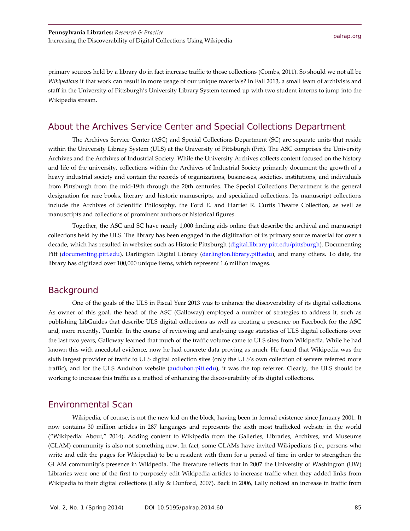primary sources held by a library do in fact increase traffic to those collections (Combs, 2011). So should we not all be *Wikipedians* if that work can result in more usage of our unique materials? In Fall 2013, a small team of archivists and staff in the University of Pittsburgh's University Library System teamed up with two student interns to jump into the Wikipedia stream.

#### About the Archives Service Center and Special Collections Department

The Archives Service Center (ASC) and Special Collections Department (SC) are separate units that reside within the University Library System (ULS) at the University of Pittsburgh (Pitt). The ASC comprises the University Archives and the Archives of Industrial Society. While the University Archives collects content focused on the history and life of the university, collections within the Archives of Industrial Society primarily document the growth of a heavy industrial society and contain the records of organizations, businesses, societies, institutions, and individuals from Pittsburgh from the mid-19th through the 20th centuries. The Special Collections Department is the general designation for rare books, literary and historic manuscripts, and specialized collections. Its manuscript collections include the Archives of Scientific Philosophy, the Ford E. and Harriet R. Curtis Theatre Collection, as well as manuscripts and collections of prominent authors or historical figures.

Together, the ASC and SC have nearly 1,000 finding aids online that describe the archival and manuscript collections held by the ULS. The library has been engaged in the digitization of its primary source material for over a decade, which has resulted in websites such as Historic Pittsburgh [\(digital.library.pitt.edu/pittsburgh\)](http://digital.library.pitt.edu/pittsburgh), Documenting Pitt [\(documenting.pitt.edu\)](http://documenting.pitt.edu/), Darlington Digital Library [\(darlington.library.pitt.edu\)](http://darlington.library.pitt.edu/), and many others. To date, the library has digitized over 100,000 unique items, which represent 1.6 million images.

#### **Background**

One of the goals of the ULS in Fiscal Year 2013 was to enhance the discoverability of its digital collections. As owner of this goal, the head of the ASC (Galloway) employed a number of strategies to address it, such as publishing LibGuides that describe ULS digital collections as well as creating a presence on Facebook for the ASC and, more recently, Tumblr. In the course of reviewing and analyzing usage statistics of ULS digital collections over the last two years, Galloway learned that much of the traffic volume came to ULS sites from Wikipedia. While he had known this with anecdotal evidence, now he had concrete data proving as much. He found that Wikipedia was the sixth largest provider of traffic to ULS digital collection sites (only the ULS's own collection of servers referred more traffic), and for the ULS Audubon website [\(audubon.pitt.edu\)](http://audubon.pitt.edu/), it was the top referrer. Clearly, the ULS should be working to increase this traffic as a method of enhancing the discoverability of its digital collections.

#### Environmental Scan

Wikipedia, of course, is not the new kid on the block, having been in formal existence since January 2001. It now contains 30 million articles in 287 languages and represents the sixth most trafficked website in the world ("Wikipedia: About," 2014). Adding content to Wikipedia from the Galleries, Libraries, Archives, and Museums (GLAM) community is also not something new. In fact, some GLAMs have invited Wikipedians (i.e., persons who write and edit the pages for Wikipedia) to be a resident with them for a period of time in order to strengthen the GLAM community's presence in Wikipedia. The literature reflects that in 2007 the University of Washington (UW) Libraries were one of the first to purposely edit Wikipedia articles to increase traffic when they added links from Wikipedia to their digital collections (Lally & Dunford, 2007). Back in 2006, Lally noticed an increase in traffic from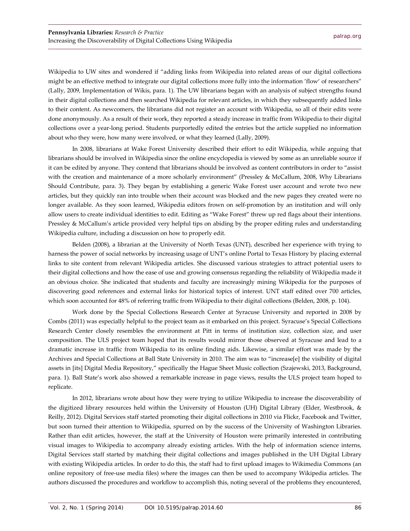Wikipedia to UW sites and wondered if "adding links from Wikipedia into related areas of our digital collections might be an effective method to integrate our digital collections more fully into the information 'flow' of researchers" (Lally, 2009, Implementation of Wikis, para. 1). The UW librarians began with an analysis of subject strengths found in their digital collections and then searched Wikipedia for relevant articles, in which they subsequently added links to their content. As newcomers, the librarians did not register an account with Wikipedia, so all of their edits were done anonymously. As a result of their work, they reported a steady increase in traffic from Wikipedia to their digital collections over a year-long period. Students purportedly edited the entries but the article supplied no information about who they were, how many were involved, or what they learned (Lally, 2009).

In 2008, librarians at Wake Forest University described their effort to edit Wikipedia, while arguing that librarians should be involved in Wikipedia since the online encyclopedia is viewed by some as an unreliable source if it can be edited by anyone. They contend that librarians should be involved as content contributors in order to "assist with the creation and maintenance of a more scholarly environment" (Pressley & McCallum, 2008, Why Librarians Should Contribute, para. 3). They began by establishing a generic Wake Forest user account and wrote two new articles, but they quickly ran into trouble when their account was blocked and the new pages they created were no longer available. As they soon learned, Wikipedia editors frown on self-promotion by an institution and will only allow users to create individual identities to edit. Editing as "Wake Forest" threw up red flags about their intentions. Pressley & McCallum's article provided very helpful tips on abiding by the proper editing rules and understanding Wikipedia culture, including a discussion on how to properly edit.

Belden (2008), a librarian at the University of North Texas (UNT), described her experience with trying to harness the power of social networks by increasing usage of UNT's online Portal to Texas History by placing external links to site content from relevant Wikipedia articles. She discussed various strategies to attract potential users to their digital collections and how the ease of use and growing consensus regarding the reliability of Wikipedia made it an obvious choice. She indicated that students and faculty are increasingly mining Wikipedia for the purposes of discovering good references and external links for historical topics of interest. UNT staff edited over 700 articles, which soon accounted for 48% of referring traffic from Wikipedia to their digital collections (Belden, 2008, p. 104).

Work done by the Special Collections Research Center at Syracuse University and reported in 2008 by Combs (2011) was especially helpful to the project team as it embarked on this project. Syracuse's Special Collections Research Center closely resembles the environment at Pitt in terms of institution size, collection size, and user composition. The ULS project team hoped that its results would mirror those observed at Syracuse and lead to a dramatic increase in traffic from Wikipedia to its online finding aids. Likewise, a similar effort was made by the Archives and Special Collections at Ball State University in 2010. The aim was to "increase[e] the visibility of digital assets in [its] Digital Media Repository," specifically the Hague Sheet Music collection (Szajewski, 2013, Background, para. 1). Ball State's work also showed a remarkable increase in page views, results the ULS project team hoped to replicate.

In 2012, librarians wrote about how they were trying to utilize Wikipedia to increase the discoverability of the digitized library resources held within the University of Houston (UH) Digital Library (Elder, Westbrook, & Reilly, 2012). Digital Services staff started promoting their digital collections in 2010 via Flickr, Facebook and Twitter, but soon turned their attention to Wikipedia, spurred on by the success of the University of Washington Libraries. Rather than edit articles, however, the staff at the University of Houston were primarily interested in contributing visual images to Wikipedia to accompany already existing articles. With the help of information science interns, Digital Services staff started by matching their digital collections and images published in the UH Digital Library with existing Wikipedia articles. In order to do this, the staff had to first upload images to Wikimedia Commons (an online repository of free-use media files) where the images can then be used to accompany Wikipedia articles. The authors discussed the procedures and workflow to accomplish this, noting several of the problems they encountered,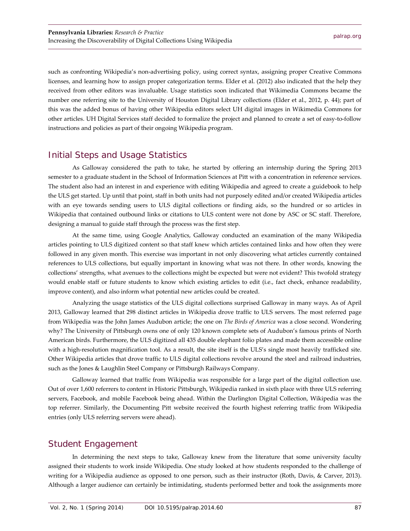such as confronting Wikipedia's non-advertising policy, using correct syntax, assigning proper Creative Commons licenses, and learning how to assign proper categorization terms. Elder et al. (2012) also indicated that the help they received from other editors was invaluable. Usage statistics soon indicated that Wikimedia Commons became the number one referring site to the University of Houston Digital Library collections (Elder et al., 2012, p. 44); part of this was the added bonus of having other Wikipedia editors select UH digital images in Wikimedia Commons for other articles. UH Digital Services staff decided to formalize the project and planned to create a set of easy-to-follow instructions and policies as part of their ongoing Wikipedia program.

#### Initial Steps and Usage Statistics

As Galloway considered the path to take, he started by offering an internship during the Spring 2013 semester to a graduate student in the School of Information Sciences at Pitt with a concentration in reference services. The student also had an interest in and experience with editing Wikipedia and agreed to create a guidebook to help the ULS get started. Up until that point, staff in both units had not purposely edited and/or created Wikipedia articles with an eye towards sending users to ULS digital collections or finding aids, so the hundred or so articles in Wikipedia that contained outbound links or citations to ULS content were not done by ASC or SC staff. Therefore, designing a manual to guide staff through the process was the first step.

At the same time, using Google Analytics, Galloway conducted an examination of the many Wikipedia articles pointing to ULS digitized content so that staff knew which articles contained links and how often they were followed in any given month. This exercise was important in not only discovering what articles currently contained references to ULS collections, but equally important in knowing what was not there. In other words, knowing the collections' strengths, what avenues to the collections might be expected but were not evident? This twofold strategy would enable staff or future students to know which existing articles to edit (i.e., fact check, enhance readability, improve content), and also inform what potential new articles could be created.

Analyzing the usage statistics of the ULS digital collections surprised Galloway in many ways. As of April 2013, Galloway learned that 298 distinct articles in Wikipedia drove traffic to ULS servers. The most referred page from Wikipedia was the John James Audubon article; the one on *The Birds of America* was a close second. Wondering why? The University of Pittsburgh owns one of only 120 known complete sets of Audubon's famous prints of North American birds. Furthermore, the ULS digitized all 435 double elephant folio plates and made them accessible online with a high-resolution magnification tool. As a result, the site itself is the ULS's single most heavily trafficked site. Other Wikipedia articles that drove traffic to ULS digital collections revolve around the steel and railroad industries, such as the Jones & Laughlin Steel Company or Pittsburgh Railways Company.

Galloway learned that traffic from Wikipedia was responsible for a large part of the digital collection use. Out of over 1,600 referrers to content in Historic Pittsburgh, Wikipedia ranked in sixth place with three ULS referring servers, Facebook, and mobile Facebook being ahead. Within the Darlington Digital Collection, Wikipedia was the top referrer. Similarly, the Documenting Pitt website received the fourth highest referring traffic from Wikipedia entries (only ULS referring servers were ahead).

#### Student Engagement

In determining the next steps to take, Galloway knew from the literature that some university faculty assigned their students to work inside Wikipedia. One study looked at how students responded to the challenge of writing for a Wikipedia audience as opposed to one person, such as their instructor (Roth, Davis, & Carver, 2013). Although a larger audience can certainly be intimidating, students performed better and took the assignments more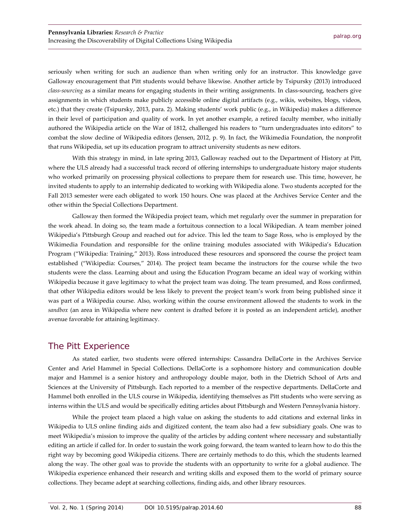seriously when writing for such an audience than when writing only for an instructor. This knowledge gave Galloway encouragement that Pitt students would behave likewise. Another article by Tsipursky (2013) introduced *class-sourcing* as a similar means for engaging students in their writing assignments. In class-sourcing, teachers give assignments in which students make publicly accessible online digital artifacts (e.g., wikis, websites, blogs, videos, etc.) that they create (Tsipursky, 2013, para. 2). Making students' work public (e.g., in Wikipedia) makes a difference in their level of participation and quality of work. In yet another example, a retired faculty member, who initially authored the Wikipedia article on the War of 1812, challenged his readers to "turn undergraduates into editors" to combat the slow decline of Wikipedia editors (Jensen, 2012, p. 9). In fact, the Wikimedia Foundation, the nonprofit that runs Wikipedia, set up its education program to attract university students as new editors.

With this strategy in mind, in late spring 2013, Galloway reached out to the Department of History at Pitt, where the ULS already had a successful track record of offering internships to undergraduate history major students who worked primarily on processing physical collections to prepare them for research use. This time, however, he invited students to apply to an internship dedicated to working with Wikipedia alone. Two students accepted for the Fall 2013 semester were each obligated to work 150 hours. One was placed at the Archives Service Center and the other within the Special Collections Department.

Galloway then formed the Wikipedia project team, which met regularly over the summer in preparation for the work ahead. In doing so, the team made a fortuitous connection to a local Wikipedian. A team member joined Wikipedia's Pittsburgh Group and reached out for advice. This led the team to Sage Ross, who is employed by the Wikimedia Foundation and responsible for the online training modules associated with Wikipedia's Education Program ("Wikipedia: Training," 2013). Ross introduced these resources and sponsored the course the project team established ("Wikipedia: Courses," 2014). The project team became the instructors for the course while the two students were the class. Learning about and using the Education Program became an ideal way of working within Wikipedia because it gave legitimacy to what the project team was doing. The team presumed, and Ross confirmed, that other Wikipedia editors would be less likely to prevent the project team's work from being published since it was part of a Wikipedia course. Also, working within the course environment allowed the students to work in the *sandbox* (an area in Wikipedia where new content is drafted before it is posted as an independent article), another avenue favorable for attaining legitimacy.

#### The Pitt Experience

As stated earlier, two students were offered internships: Cassandra DellaCorte in the Archives Service Center and Ariel Hammel in Special Collections. DellaCorte is a sophomore history and communication double major and Hammel is a senior history and anthropology double major, both in the Dietrich School of Arts and Sciences at the University of Pittsburgh. Each reported to a member of the respective departments. DellaCorte and Hammel both enrolled in the ULS course in Wikipedia, identifying themselves as Pitt students who were serving as interns within the ULS and would be specifically editing articles about Pittsburgh and Western Pennsylvania history.

While the project team placed a high value on asking the students to add citations and external links in Wikipedia to ULS online finding aids and digitized content, the team also had a few subsidiary goals. One was to meet Wikipedia's mission to improve the quality of the articles by adding content where necessary and substantially editing an article if called for. In order to sustain the work going forward, the team wanted to learn how to do this the right way by becoming good Wikipedia citizens. There are certainly methods to do this, which the students learned along the way. The other goal was to provide the students with an opportunity to write for a global audience. The Wikipedia experience enhanced their research and writing skills and exposed them to the world of primary source collections. They became adept at searching collections, finding aids, and other library resources.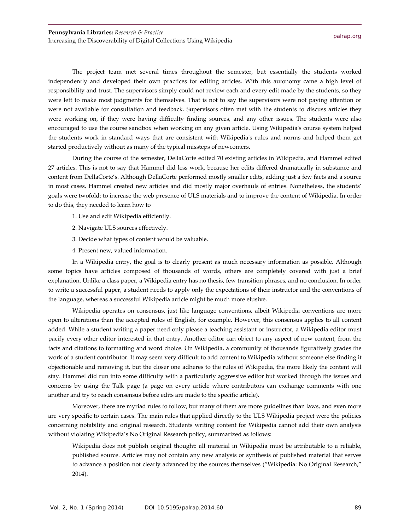The project team met several times throughout the semester, but essentially the students worked independently and developed their own practices for editing articles. With this autonomy came a high level of responsibility and trust. The supervisors simply could not review each and every edit made by the students, so they were left to make most judgments for themselves. That is not to say the supervisors were not paying attention or were not available for consultation and feedback. Supervisors often met with the students to discuss articles they were working on, if they were having difficulty finding sources, and any other issues. The students were also encouraged to use the course sandbox when working on any given article. Using Wikipedia's course system helped the students work in standard ways that are consistent with Wikipedia's rules and norms and helped them get started productively without as many of the typical missteps of newcomers.

During the course of the semester, DellaCorte edited 70 existing articles in Wikipedia, and Hammel edited 27 articles. This is not to say that Hammel did less work, because her edits differed dramatically in substance and content from DellaCorte's. Although DellaCorte performed mostly smaller edits, adding just a few facts and a source in most cases, Hammel created new articles and did mostly major overhauls of entries. Nonetheless, the students' goals were twofold: to increase the web presence of ULS materials and to improve the content of Wikipedia. In order to do this, they needed to learn how to

- 1. Use and edit Wikipedia efficiently.
- 2. Navigate ULS sources effectively.
- 3. Decide what types of content would be valuable.
- 4. Present new, valued information.

In a Wikipedia entry, the goal is to clearly present as much necessary information as possible. Although some topics have articles composed of thousands of words, others are completely covered with just a brief explanation. Unlike a class paper, a Wikipedia entry has no thesis, few transition phrases, and no conclusion. In order to write a successful paper, a student needs to apply only the expectations of their instructor and the conventions of the language, whereas a successful Wikipedia article might be much more elusive.

Wikipedia operates on consensus, just like language conventions, albeit Wikipedia conventions are more open to alterations than the accepted rules of English, for example. However, this consensus applies to all content added. While a student writing a paper need only please a teaching assistant or instructor, a Wikipedia editor must pacify every other editor interested in that entry. Another editor can object to any aspect of new content, from the facts and citations to formatting and word choice. On Wikipedia, a community of thousands figuratively grades the work of a student contributor. It may seem very difficult to add content to Wikipedia without someone else finding it objectionable and removing it, but the closer one adheres to the rules of Wikipedia, the more likely the content will stay. Hammel did run into some difficulty with a particularly aggressive editor but worked through the issues and concerns by using the Talk page (a page on every article where contributors can exchange comments with one another and try to reach consensus before edits are made to the specific article).

Moreover, there are myriad rules to follow, but many of them are more guidelines than laws, and even more are very specific to certain cases. The main rules that applied directly to the ULS Wikipedia project were the policies concerning notability and original research. Students writing content for Wikipedia cannot add their own analysis without violating Wikipedia's No Original Research policy, summarized as follows:

Wikipedia does not publish original thought: all material in Wikipedia must be attributable to a reliable, published source. Articles may not contain any new analysis or synthesis of published material that serves to advance a position not clearly advanced by the sources themselves ("Wikipedia: No Original Research," 2014).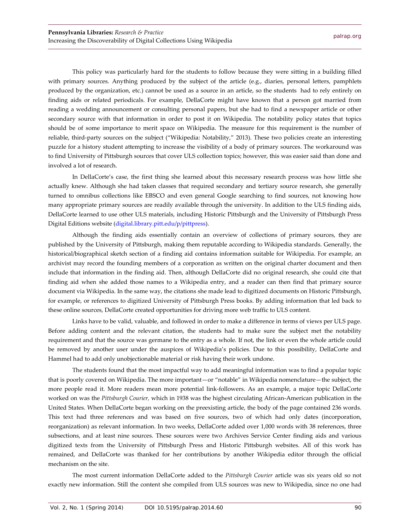This policy was particularly hard for the students to follow because they were sitting in a building filled with primary sources. Anything produced by the subject of the article (e.g., diaries, personal letters, pamphlets produced by the organization, etc.) cannot be used as a source in an article, so the students had to rely entirely on finding aids or related periodicals. For example, DellaCorte might have known that a person got married from reading a wedding announcement or consulting personal papers, but she had to find a newspaper article or other secondary source with that information in order to post it on Wikipedia. The notability policy states that topics should be of some importance to merit space on Wikipedia. The measure for this requirement is the number of reliable, third-party sources on the subject ("Wikipedia: Notability," 2013). These two policies create an interesting puzzle for a history student attempting to increase the visibility of a body of primary sources. The workaround was to find University of Pittsburgh sources that cover ULS collection topics; however, this was easier said than done and involved a lot of research.

In DellaCorte's case, the first thing she learned about this necessary research process was how little she actually knew. Although she had taken classes that required secondary and tertiary source research, she generally turned to omnibus collections like EBSCO and even general Google searching to find sources, not knowing how many appropriate primary sources are readily available through the university. In addition to the ULS finding aids, DellaCorte learned to use other ULS materials, including Historic Pittsburgh and the University of Pittsburgh Press Digital Editions website [\(digital.library.pitt.edu/p/pittpress\)](http://digital.library.pitt.edu/p/pittpress).

Although the finding aids essentially contain an overview of collections of primary sources, they are published by the University of Pittsburgh, making them reputable according to Wikipedia standards. Generally, the historical/biographical sketch section of a finding aid contains information suitable for Wikipedia. For example, an archivist may record the founding members of a corporation as written on the original charter document and then include that information in the finding aid. Then, although DellaCorte did no original research, she could cite that finding aid when she added those names to a Wikipedia entry, and a reader can then find that primary source document via Wikipedia. In the same way, the citations she made lead to digitized documents on Historic Pittsburgh, for example, or references to digitized University of Pittsburgh Press books. By adding information that led back to these online sources, DellaCorte created opportunities for driving more web traffic to ULS content.

Links have to be valid, valuable, and followed in order to make a difference in terms of views per ULS page. Before adding content and the relevant citation, the students had to make sure the subject met the notability requirement and that the source was germane to the entry as a whole. If not, the link or even the whole article could be removed by another user under the auspices of Wikipedia's policies. Due to this possibility, DellaCorte and Hammel had to add only unobjectionable material or risk having their work undone.

The students found that the most impactful way to add meaningful information was to find a popular topic that is poorly covered on Wikipedia. The more important—or "notable" in Wikipedia nomenclature—the subject, the more people read it. More readers mean more potential link-followers. As an example, a major topic DellaCorte worked on was the *Pittsburgh Courier,* which in 1938 was the highest circulating African-American publication in the United States. When DellaCorte began working on the preexisting article, the body of the page contained 236 words. This text had three references and was based on five sources, two of which had only dates (incorporation, reorganization) as relevant information. In two weeks, DellaCorte added over 1,000 words with 38 references, three subsections, and at least nine sources. These sources were two Archives Service Center finding aids and various digitized texts from the University of Pittsburgh Press and Historic Pittsburgh websites. All of this work has remained, and DellaCorte was thanked for her contributions by another Wikipedia editor through the official mechanism on the site.

The most current information DellaCorte added to the *Pittsburgh Courier* article was six years old so not exactly new information. Still the content she compiled from ULS sources was new to Wikipedia, since no one had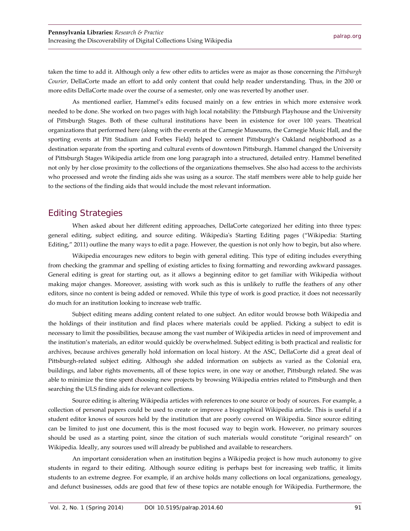taken the time to add it. Although only a few other edits to articles were as major as those concerning the *Pittsburgh Courier,* DellaCorte made an effort to add only content that could help reader understanding. Thus, in the 200 or more edits DellaCorte made over the course of a semester, only one was reverted by another user.

As mentioned earlier, Hammel's edits focused mainly on a few entries in which more extensive work needed to be done. She worked on two pages with high local notability: the Pittsburgh Playhouse and the University of Pittsburgh Stages. Both of these cultural institutions have been in existence for over 100 years. Theatrical organizations that performed here (along with the events at the Carnegie Museums, the Carnegie Music Hall, and the sporting events at Pitt Stadium and Forbes Field) helped to cement Pittsburgh's Oakland neighborhood as a destination separate from the sporting and cultural events of downtown Pittsburgh. Hammel changed the University of Pittsburgh Stages Wikipedia article from one long paragraph into a structured, detailed entry. Hammel benefited not only by her close proximity to the collections of the organizations themselves. She also had access to the archivists who processed and wrote the finding aids she was using as a source. The staff members were able to help guide her to the sections of the finding aids that would include the most relevant information.

#### Editing Strategies

When asked about her different editing approaches, DellaCorte categorized her editing into three types: general editing, subject editing, and source editing. Wikipedia's Starting Editing pages ("Wikipedia: Starting Editing," 2011) outline the many ways to edit a page. However, the question is not only how to begin, but also where.

Wikipedia encourages new editors to begin with general editing. This type of editing includes everything from checking the grammar and spelling of existing articles to fixing formatting and rewording awkward passages. General editing is great for starting out, as it allows a beginning editor to get familiar with Wikipedia without making major changes. Moreover, assisting with work such as this is unlikely to ruffle the feathers of any other editors, since no content is being added or removed. While this type of work is good practice, it does not necessarily do much for an institution looking to increase web traffic.

Subject editing means adding content related to one subject. An editor would browse both Wikipedia and the holdings of their institution and find places where materials could be applied. Picking a subject to edit is necessary to limit the possibilities, because among the vast number of Wikipedia articles in need of improvement and the institution's materials, an editor would quickly be overwhelmed. Subject editing is both practical and realistic for archives, because archives generally hold information on local history. At the ASC, DellaCorte did a great deal of Pittsburgh-related subject editing. Although she added information on subjects as varied as the Colonial era, buildings, and labor rights movements, all of these topics were, in one way or another, Pittsburgh related. She was able to minimize the time spent choosing new projects by browsing Wikipedia entries related to Pittsburgh and then searching the ULS finding aids for relevant collections.

Source editing is altering Wikipedia articles with references to one source or body of sources. For example, a collection of personal papers could be used to create or improve a biographical Wikipedia article. This is useful if a student editor knows of sources held by the institution that are poorly covered on Wikipedia. Since source editing can be limited to just one document, this is the most focused way to begin work. However, no primary sources should be used as a starting point, since the citation of such materials would constitute "original research" on Wikipedia. Ideally, any sources used will already be published and available to researchers.

An important consideration when an institution begins a Wikipedia project is how much autonomy to give students in regard to their editing. Although source editing is perhaps best for increasing web traffic, it limits students to an extreme degree. For example, if an archive holds many collections on local organizations, genealogy, and defunct businesses, odds are good that few of these topics are notable enough for Wikipedia. Furthermore, the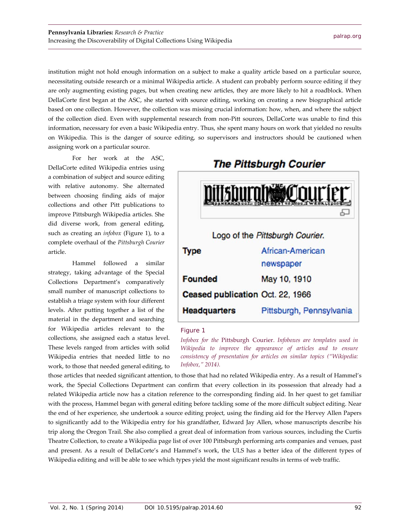institution might not hold enough information on a subject to make a quality article based on a particular source, necessitating outside research or a minimal Wikipedia article. A student can probably perform source editing if they are only augmenting existing pages, but when creating new articles, they are more likely to hit a roadblock. When DellaCorte first began at the ASC, she started with source editing, working on creating a new biographical article based on one collection. However, the collection was missing crucial information: how, when, and where the subject of the collection died. Even with supplemental research from non-Pitt sources, DellaCorte was unable to find this information, necessary for even a basic Wikipedia entry. Thus, she spent many hours on work that yielded no results on Wikipedia. This is the danger of source editing, so supervisors and instructors should be cautioned when assigning work on a particular source.

For her work at the ASC, DellaCorte edited Wikipedia entries using a combination of subject and source editing with relative autonomy. She alternated between choosing finding aids of major collections and other Pitt publications to improve Pittsburgh Wikipedia articles. She did diverse work, from general editing, such as creating an *infobox* (Figure 1), to a complete overhaul of the *Pittsburgh Courier* article.

Hammel followed a similar strategy, taking advantage of the Special Collections Department's comparatively small number of manuscript collections to establish a triage system with four different levels. After putting together a list of the material in the department and searching for Wikipedia articles relevant to the collections, she assigned each a status level. These levels ranged from articles with solid Wikipedia entries that needed little to no work, to those that needed general editing, to



#### Figure 1

*Infobox for the* Pittsburgh Courier. *Infoboxes are templates used in Wikipedia to improve the appearance of articles and to ensure consistency of presentation for articles on similar topics ("Wikipedia: Infobox," 2014).*

those articles that needed significant attention, to those that had no related Wikipedia entry. As a result of Hammel's work, the Special Collections Department can confirm that every collection in its possession that already had a related Wikipedia article now has a citation reference to the corresponding finding aid. In her quest to get familiar with the process, Hammel began with general editing before tackling some of the more difficult subject editing. Near the end of her experience, she undertook a source editing project, using the finding aid for the Hervey Allen Papers to significantly add to the Wikipedia entry for his grandfather, Edward Jay Allen, whose manuscripts describe his trip along the Oregon Trail. She also complied a great deal of information from various sources, including the Curtis Theatre Collection, to create a Wikipedia page list of over 100 Pittsburgh performing arts companies and venues, past and present. As a result of DellaCorte's and Hammel's work, the ULS has a better idea of the different types of Wikipedia editing and will be able to see which types yield the most significant results in terms of web traffic.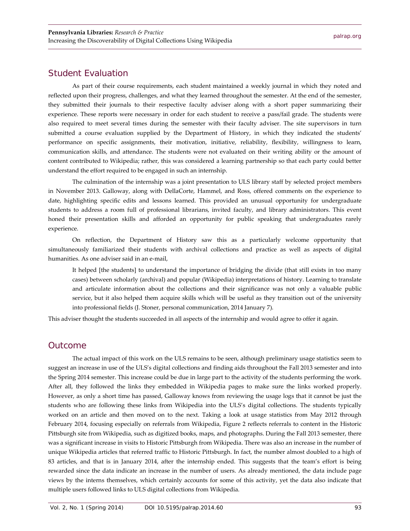#### Student Evaluation

As part of their course requirements, each student maintained a weekly journal in which they noted and reflected upon their progress, challenges, and what they learned throughout the semester. At the end of the semester, they submitted their journals to their respective faculty adviser along with a short paper summarizing their experience. These reports were necessary in order for each student to receive a pass/fail grade. The students were also required to meet several times during the semester with their faculty adviser. The site supervisors in turn submitted a course evaluation supplied by the Department of History, in which they indicated the students' performance on specific assignments, their motivation, initiative, reliability, flexibility, willingness to learn, communication skills, and attendance. The students were not evaluated on their writing ability or the amount of content contributed to Wikipedia; rather, this was considered a learning partnership so that each party could better understand the effort required to be engaged in such an internship.

The culmination of the internship was a joint presentation to ULS library staff by selected project members in November 2013. Galloway, along with DellaCorte, Hammel, and Ross, offered comments on the experience to date, highlighting specific edits and lessons learned. This provided an unusual opportunity for undergraduate students to address a room full of professional librarians, invited faculty, and library administrators. This event honed their presentation skills and afforded an opportunity for public speaking that undergraduates rarely experience.

On reflection, the Department of History saw this as a particularly welcome opportunity that simultaneously familiarized their students with archival collections and practice as well as aspects of digital humanities. As one adviser said in an e-mail,

It helped [the students] to understand the importance of bridging the divide (that still exists in too many cases) between scholarly (archival) and popular (Wikipedia) interpretations of history. Learning to translate and articulate information about the collections and their significance was not only a valuable public service, but it also helped them acquire skills which will be useful as they transition out of the university into professional fields (J. Stoner, personal communication, 2014 January 7).

This adviser thought the students succeeded in all aspects of the internship and would agree to offer it again.

#### **Outcome**

The actual impact of this work on the ULS remains to be seen, although preliminary usage statistics seem to suggest an increase in use of the ULS's digital collections and finding aids throughout the Fall 2013 semester and into the Spring 2014 semester. This increase could be due in large part to the activity of the students performing the work. After all, they followed the links they embedded in Wikipedia pages to make sure the links worked properly. However, as only a short time has passed, Galloway knows from reviewing the usage logs that it cannot be just the students who are following these links from Wikipedia into the ULS's digital collections. The students typically worked on an article and then moved on to the next. Taking a look at usage statistics from May 2012 through February 2014, focusing especially on referrals from Wikipedia, Figure 2 reflects referrals to content in the Historic Pittsburgh site from Wikipedia, such as digitized books, maps, and photographs. During the Fall 2013 semester, there was a significant increase in visits to Historic Pittsburgh from Wikipedia. There was also an increase in the number of unique Wikipedia articles that referred traffic to Historic Pittsburgh. In fact, the number almost doubled to a high of 83 articles, and that is in January 2014, after the internship ended. This suggests that the team's effort is being rewarded since the data indicate an increase in the number of users. As already mentioned, the data include page views by the interns themselves, which certainly accounts for some of this activity, yet the data also indicate that multiple users followed links to ULS digital collections from Wikipedia.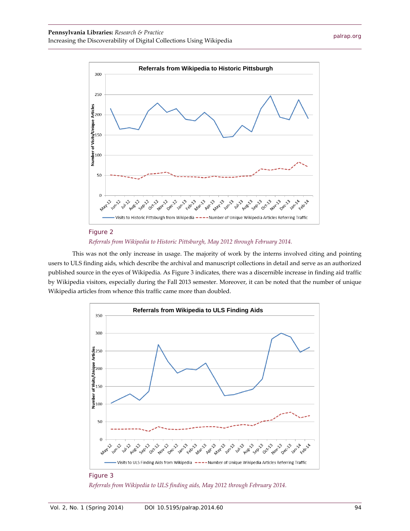



This was not the only increase in usage. The majority of work by the interns involved citing and pointing users to ULS finding aids, which describe the archival and manuscript collections in detail and serve as an authorized published source in the eyes of Wikipedia. As Figure 3 indicates, there was a discernible increase in finding aid traffic by Wikipedia visitors, especially during the Fall 2013 semester. Moreover, it can be noted that the number of unique Wikipedia articles from whence this traffic came more than doubled.



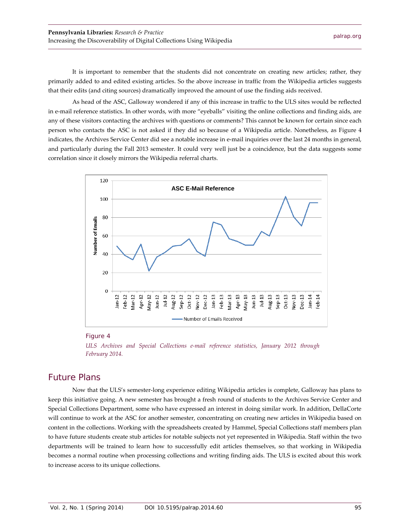It is important to remember that the students did not concentrate on creating new articles; rather, they primarily added to and edited existing articles. So the above increase in traffic from the Wikipedia articles suggests that their edits (and citing sources) dramatically improved the amount of use the finding aids received.

As head of the ASC, Galloway wondered if any of this increase in traffic to the ULS sites would be reflected in e-mail reference statistics. In other words, with more "eyeballs" visiting the online collections and finding aids, are any of these visitors contacting the archives with questions or comments? This cannot be known for certain since each person who contacts the ASC is not asked if they did so because of a Wikipedia article. Nonetheless, as Figure 4 indicates, the Archives Service Center did see a notable increase in e-mail inquiries over the last 24 months in general, and particularly during the Fall 2013 semester. It could very well just be a coincidence, but the data suggests some correlation since it closely mirrors the Wikipedia referral charts.



#### Figure 4

*ULS Archives and Special Collections e-mail reference statistics, January 2012 through February 2014.*

#### Future Plans

Now that the ULS's semester-long experience editing Wikipedia articles is complete, Galloway has plans to keep this initiative going. A new semester has brought a fresh round of students to the Archives Service Center and Special Collections Department, some who have expressed an interest in doing similar work. In addition, DellaCorte will continue to work at the ASC for another semester, concentrating on creating new articles in Wikipedia based on content in the collections. Working with the spreadsheets created by Hammel, Special Collections staff members plan to have future students create stub articles for notable subjects not yet represented in Wikipedia. Staff within the two departments will be trained to learn how to successfully edit articles themselves, so that working in Wikipedia becomes a normal routine when processing collections and writing finding aids. The ULS is excited about this work to increase access to its unique collections.